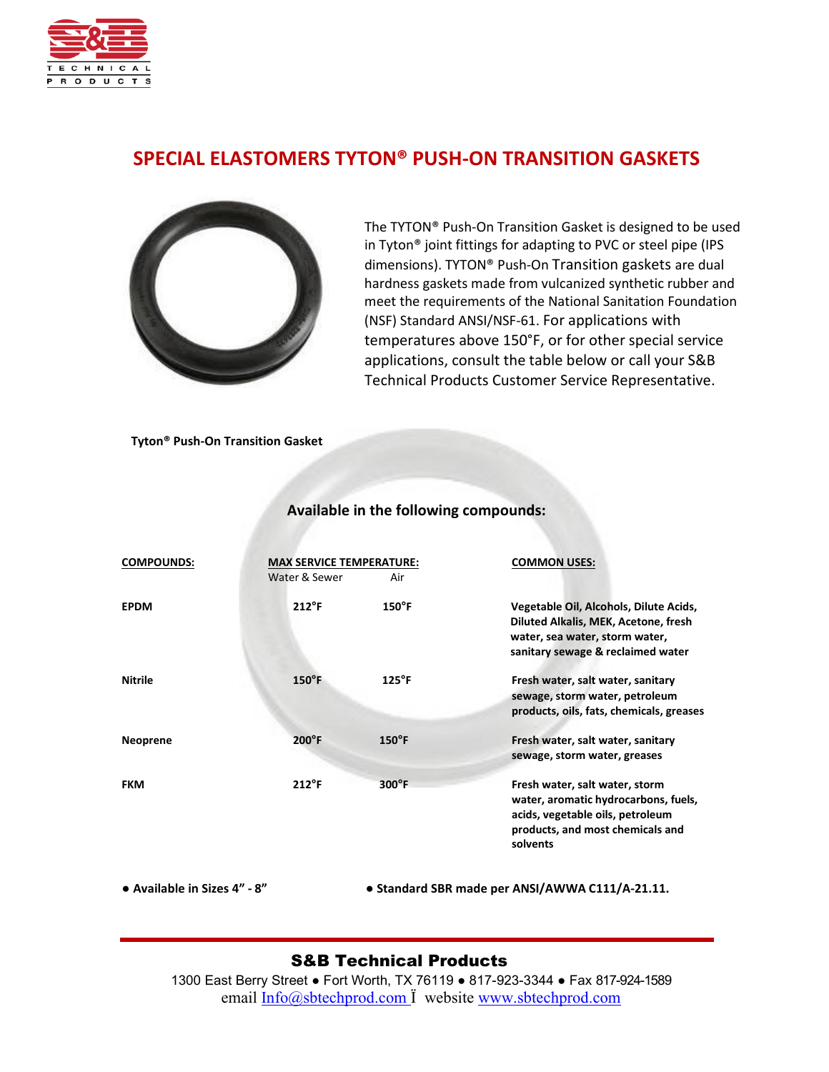

# **SPECIAL ELASTOMERS TYTON® PUSH-ON TRANSITION GASKETS**



The TYTON® Push-On Transition Gasket is designed to be used in Tyton® joint fittings for adapting to PVC or steel pipe (IPS dimensions). TYTON® Push-On Transition gaskets are dual hardness gaskets made from vulcanized synthetic rubber and meet the requirements of the National Sanitation Foundation (NSF) Standard ANSI/NSF-61. For applications with temperatures above 150°F, or for other special service applications, consult the table below or call your S&B Technical Products Customer Service Representative.

**Tyton® Push-On Transition Gasket**

| <b>COMPOUNDS:</b> | <b>MAX SERVICE TEMPERATURE:</b><br>Water & Sewer | Air             | <b>COMMON USES:</b>                                                                                                                                        |
|-------------------|--------------------------------------------------|-----------------|------------------------------------------------------------------------------------------------------------------------------------------------------------|
| <b>EPDM</b>       | $212^{\circ}$ F                                  | $150^{\circ}$ F | Vegetable Oil, Alcohols, Dilute Acids,<br>Diluted Alkalis, MEK, Acetone, fresh<br>water, sea water, storm water,<br>sanitary sewage & reclaimed water      |
| <b>Nitrile</b>    | $150^{\circ}$ F                                  | $125^{\circ}$ F | Fresh water, salt water, sanitary<br>sewage, storm water, petroleum<br>products, oils, fats, chemicals, greases                                            |
| <b>Neoprene</b>   | $200^{\circ}$ F                                  | $150^{\circ}$ F | Fresh water, salt water, sanitary<br>sewage, storm water, greases                                                                                          |
| <b>FKM</b>        | $212^{\circ}$ F                                  | $300^{\circ}$ F | Fresh water, salt water, storm<br>water, aromatic hydrocarbons, fuels,<br>acids, vegetable oils, petroleum<br>products, and most chemicals and<br>solvents |

#### **Available in the following compounds:**

**● Available in Sizes 4" - 8"** ● **Standard SBR made per ANSI/AWWA C111/A-21.11.**

#### S&B Technical Products

1300 East Berry Street ● Fort Worth, TX 76119 ● 817-923-3344 ● Fax 817-924-1589 email [Info@sbtechprod.com](mailto:Info@sbtechprod.com) Ï website [www.sbtechprod.com](http://www.sbtechprod.com/)